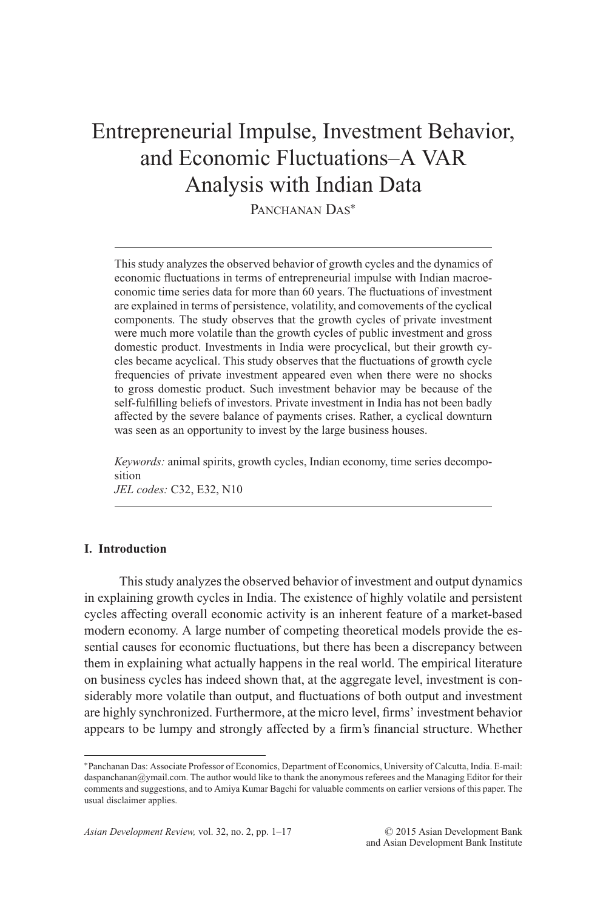# Entrepreneurial Impulse, Investment Behavior, and Economic Fluctuations–A VAR Analysis with Indian Data

PANCHANAN DAS<sup>∗</sup>

This study analyzes the observed behavior of growth cycles and the dynamics of economic fluctuations in terms of entrepreneurial impulse with Indian macroeconomic time series data for more than 60 years. The fluctuations of investment are explained in terms of persistence, volatility, and comovements of the cyclical components. The study observes that the growth cycles of private investment were much more volatile than the growth cycles of public investment and gross domestic product. Investments in India were procyclical, but their growth cycles became acyclical. This study observes that the fluctuations of growth cycle frequencies of private investment appeared even when there were no shocks to gross domestic product. Such investment behavior may be because of the self-fulfilling beliefs of investors. Private investment in India has not been badly affected by the severe balance of payments crises. Rather, a cyclical downturn was seen as an opportunity to invest by the large business houses.

*Keywords:* animal spirits, growth cycles, Indian economy, time series decomposition *JEL codes:* C32, E32, N10

# **I. Introduction**

This study analyzes the observed behavior of investment and output dynamics in explaining growth cycles in India. The existence of highly volatile and persistent cycles affecting overall economic activity is an inherent feature of a market-based modern economy. A large number of competing theoretical models provide the essential causes for economic fluctuations, but there has been a discrepancy between them in explaining what actually happens in the real world. The empirical literature on business cycles has indeed shown that, at the aggregate level, investment is considerably more volatile than output, and fluctuations of both output and investment are highly synchronized. Furthermore, at the micro level, firms' investment behavior appears to be lumpy and strongly affected by a firm's financial structure. Whether

<sup>∗</sup>Panchanan Das: Associate Professor of Economics, Department of Economics, University of Calcutta, India. E-mail: daspanchanan@ymail.com. The author would like to thank the anonymous referees and the Managing Editor for their comments and suggestions, and to Amiya Kumar Bagchi for valuable comments on earlier versions of this paper. The usual disclaimer applies.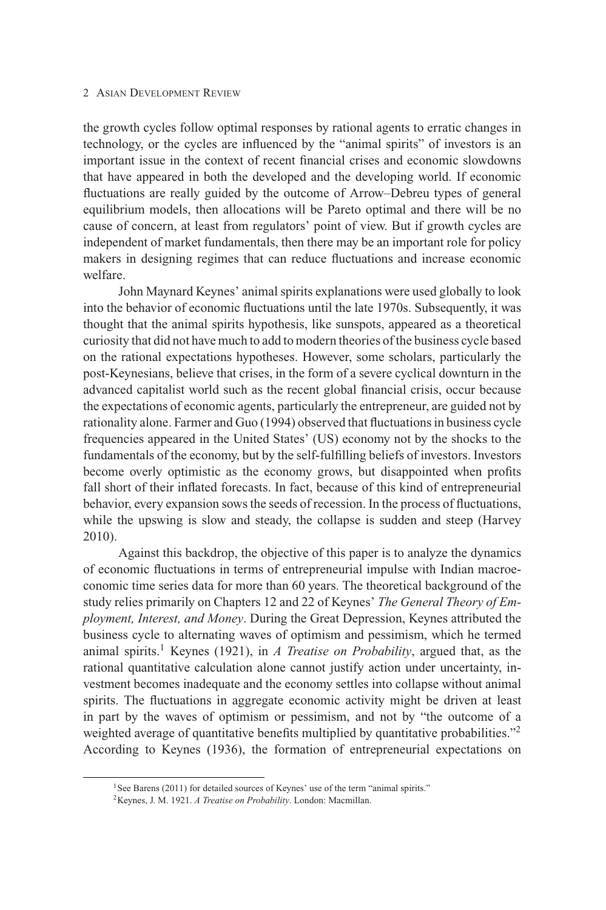the growth cycles follow optimal responses by rational agents to erratic changes in technology, or the cycles are influenced by the "animal spirits" of investors is an important issue in the context of recent financial crises and economic slowdowns that have appeared in both the developed and the developing world. If economic fluctuations are really guided by the outcome of Arrow–Debreu types of general equilibrium models, then allocations will be Pareto optimal and there will be no cause of concern, at least from regulators' point of view. But if growth cycles are independent of market fundamentals, then there may be an important role for policy makers in designing regimes that can reduce fluctuations and increase economic welfare.

John Maynard Keynes' animal spirits explanations were used globally to look into the behavior of economic fluctuations until the late 1970s. Subsequently, it was thought that the animal spirits hypothesis, like sunspots, appeared as a theoretical curiosity that did not have much to add to modern theories of the business cycle based on the rational expectations hypotheses. However, some scholars, particularly the post-Keynesians, believe that crises, in the form of a severe cyclical downturn in the advanced capitalist world such as the recent global financial crisis, occur because the expectations of economic agents, particularly the entrepreneur, are guided not by rationality alone. Farmer and Guo (1994) observed that fluctuations in business cycle frequencies appeared in the United States' (US) economy not by the shocks to the fundamentals of the economy, but by the self-fulfilling beliefs of investors. Investors become overly optimistic as the economy grows, but disappointed when profits fall short of their inflated forecasts. In fact, because of this kind of entrepreneurial behavior, every expansion sows the seeds of recession. In the process of fluctuations, while the upswing is slow and steady, the collapse is sudden and steep (Harvey 2010).

Against this backdrop, the objective of this paper is to analyze the dynamics of economic fluctuations in terms of entrepreneurial impulse with Indian macroeconomic time series data for more than 60 years. The theoretical background of the study relies primarily on Chapters 12 and 22 of Keynes' *The General Theory of Employment, Interest, and Money*. During the Great Depression, Keynes attributed the business cycle to alternating waves of optimism and pessimism, which he termed animal spirits.<sup>1</sup> Keynes (1921), in *A Treatise on Probability*, argued that, as the rational quantitative calculation alone cannot justify action under uncertainty, investment becomes inadequate and the economy settles into collapse without animal spirits. The fluctuations in aggregate economic activity might be driven at least in part by the waves of optimism or pessimism, and not by "the outcome of a weighted average of quantitative benefits multiplied by quantitative probabilities."<sup>2</sup> According to Keynes (1936), the formation of entrepreneurial expectations on

<sup>&</sup>lt;sup>1</sup>See Barens (2011) for detailed sources of Keynes' use of the term "animal spirits."

<sup>2</sup>Keynes, J. M. 1921. *A Treatise on Probability*. London: Macmillan.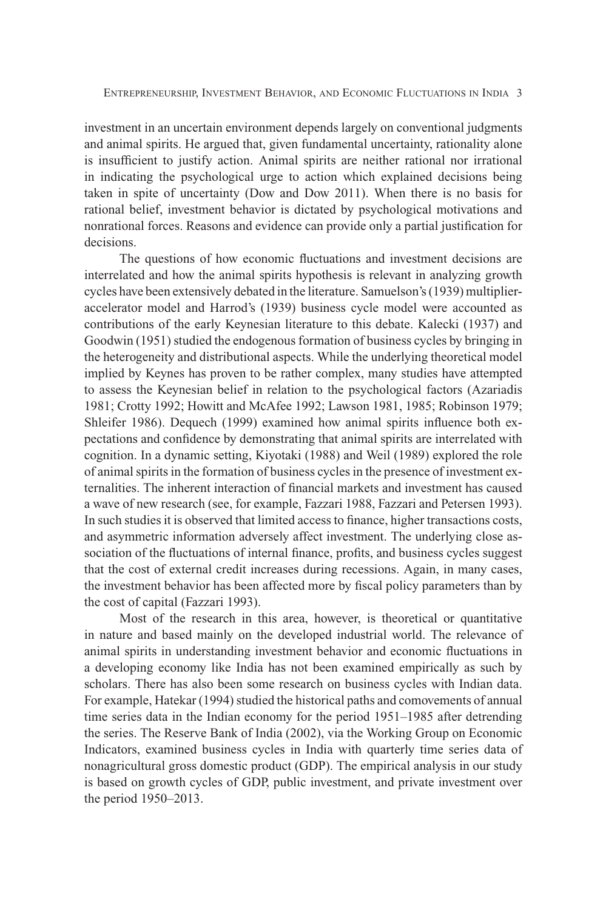investment in an uncertain environment depends largely on conventional judgments and animal spirits. He argued that, given fundamental uncertainty, rationality alone is insufficient to justify action. Animal spirits are neither rational nor irrational in indicating the psychological urge to action which explained decisions being taken in spite of uncertainty (Dow and Dow 2011). When there is no basis for rational belief, investment behavior is dictated by psychological motivations and nonrational forces. Reasons and evidence can provide only a partial justification for decisions.

The questions of how economic fluctuations and investment decisions are interrelated and how the animal spirits hypothesis is relevant in analyzing growth cycles have been extensively debated in the literature. Samuelson's (1939) multiplieraccelerator model and Harrod's (1939) business cycle model were accounted as contributions of the early Keynesian literature to this debate. Kalecki (1937) and Goodwin (1951) studied the endogenous formation of business cycles by bringing in the heterogeneity and distributional aspects. While the underlying theoretical model implied by Keynes has proven to be rather complex, many studies have attempted to assess the Keynesian belief in relation to the psychological factors (Azariadis 1981; Crotty 1992; Howitt and McAfee 1992; Lawson 1981, 1985; Robinson 1979; Shleifer 1986). Dequech (1999) examined how animal spirits influence both expectations and confidence by demonstrating that animal spirits are interrelated with cognition. In a dynamic setting, Kiyotaki (1988) and Weil (1989) explored the role of animal spirits in the formation of business cycles in the presence of investment externalities. The inherent interaction of financial markets and investment has caused a wave of new research (see, for example, Fazzari 1988, Fazzari and Petersen 1993). In such studies it is observed that limited access to finance, higher transactions costs, and asymmetric information adversely affect investment. The underlying close association of the fluctuations of internal finance, profits, and business cycles suggest that the cost of external credit increases during recessions. Again, in many cases, the investment behavior has been affected more by fiscal policy parameters than by the cost of capital (Fazzari 1993).

Most of the research in this area, however, is theoretical or quantitative in nature and based mainly on the developed industrial world. The relevance of animal spirits in understanding investment behavior and economic fluctuations in a developing economy like India has not been examined empirically as such by scholars. There has also been some research on business cycles with Indian data. For example, Hatekar (1994) studied the historical paths and comovements of annual time series data in the Indian economy for the period 1951–1985 after detrending the series. The Reserve Bank of India (2002), via the Working Group on Economic Indicators, examined business cycles in India with quarterly time series data of nonagricultural gross domestic product (GDP). The empirical analysis in our study is based on growth cycles of GDP, public investment, and private investment over the period 1950–2013.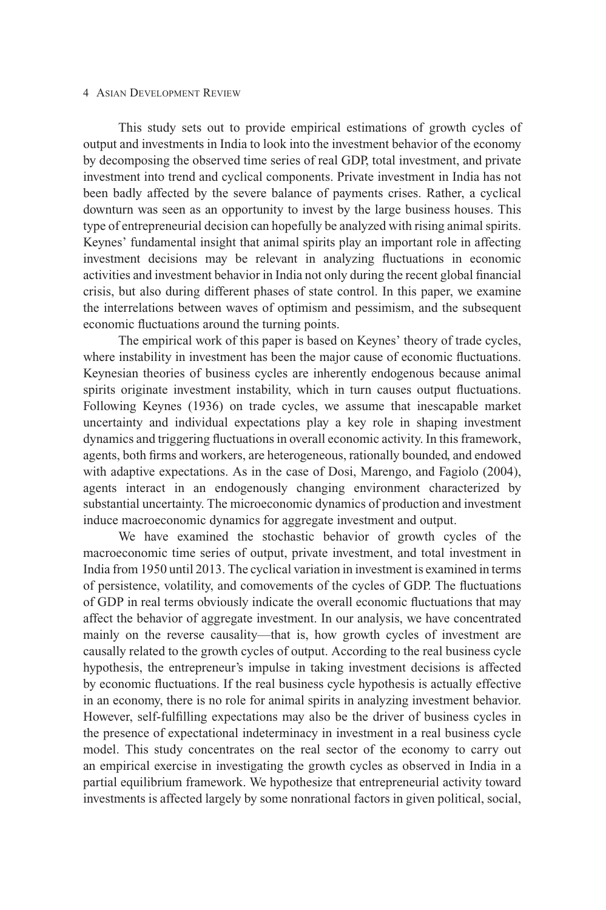This study sets out to provide empirical estimations of growth cycles of output and investments in India to look into the investment behavior of the economy by decomposing the observed time series of real GDP, total investment, and private investment into trend and cyclical components. Private investment in India has not been badly affected by the severe balance of payments crises. Rather, a cyclical downturn was seen as an opportunity to invest by the large business houses. This type of entrepreneurial decision can hopefully be analyzed with rising animal spirits. Keynes' fundamental insight that animal spirits play an important role in affecting investment decisions may be relevant in analyzing fluctuations in economic activities and investment behavior in India not only during the recent global financial crisis, but also during different phases of state control. In this paper, we examine the interrelations between waves of optimism and pessimism, and the subsequent economic fluctuations around the turning points.

The empirical work of this paper is based on Keynes' theory of trade cycles, where instability in investment has been the major cause of economic fluctuations. Keynesian theories of business cycles are inherently endogenous because animal spirits originate investment instability, which in turn causes output fluctuations. Following Keynes (1936) on trade cycles, we assume that inescapable market uncertainty and individual expectations play a key role in shaping investment dynamics and triggering fluctuations in overall economic activity. In this framework, agents, both firms and workers, are heterogeneous, rationally bounded, and endowed with adaptive expectations. As in the case of Dosi, Marengo, and Fagiolo (2004), agents interact in an endogenously changing environment characterized by substantial uncertainty. The microeconomic dynamics of production and investment induce macroeconomic dynamics for aggregate investment and output.

We have examined the stochastic behavior of growth cycles of the macroeconomic time series of output, private investment, and total investment in India from 1950 until 2013. The cyclical variation in investment is examined in terms of persistence, volatility, and comovements of the cycles of GDP. The fluctuations of GDP in real terms obviously indicate the overall economic fluctuations that may affect the behavior of aggregate investment. In our analysis, we have concentrated mainly on the reverse causality—that is, how growth cycles of investment are causally related to the growth cycles of output. According to the real business cycle hypothesis, the entrepreneur's impulse in taking investment decisions is affected by economic fluctuations. If the real business cycle hypothesis is actually effective in an economy, there is no role for animal spirits in analyzing investment behavior. However, self-fulfilling expectations may also be the driver of business cycles in the presence of expectational indeterminacy in investment in a real business cycle model. This study concentrates on the real sector of the economy to carry out an empirical exercise in investigating the growth cycles as observed in India in a partial equilibrium framework. We hypothesize that entrepreneurial activity toward investments is affected largely by some nonrational factors in given political, social,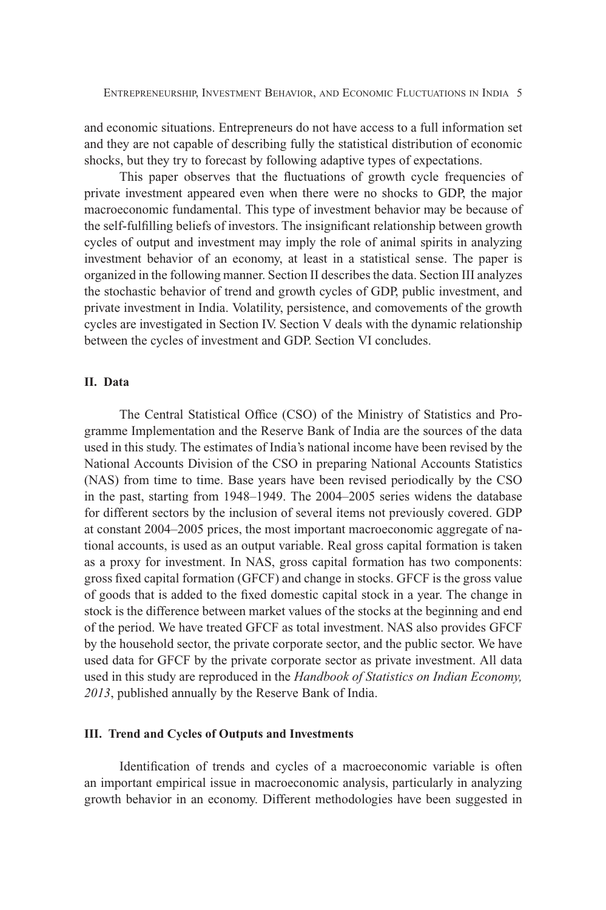and economic situations. Entrepreneurs do not have access to a full information set and they are not capable of describing fully the statistical distribution of economic shocks, but they try to forecast by following adaptive types of expectations.

This paper observes that the fluctuations of growth cycle frequencies of private investment appeared even when there were no shocks to GDP, the major macroeconomic fundamental. This type of investment behavior may be because of the self-fulfilling beliefs of investors. The insignificant relationship between growth cycles of output and investment may imply the role of animal spirits in analyzing investment behavior of an economy, at least in a statistical sense. The paper is organized in the following manner. Section II describes the data. Section III analyzes the stochastic behavior of trend and growth cycles of GDP, public investment, and private investment in India. Volatility, persistence, and comovements of the growth cycles are investigated in Section IV. Section V deals with the dynamic relationship between the cycles of investment and GDP. Section VI concludes.

# **II. Data**

The Central Statistical Office (CSO) of the Ministry of Statistics and Programme Implementation and the Reserve Bank of India are the sources of the data used in this study. The estimates of India's national income have been revised by the National Accounts Division of the CSO in preparing National Accounts Statistics (NAS) from time to time. Base years have been revised periodically by the CSO in the past, starting from 1948–1949. The 2004–2005 series widens the database for different sectors by the inclusion of several items not previously covered. GDP at constant 2004–2005 prices, the most important macroeconomic aggregate of national accounts, is used as an output variable. Real gross capital formation is taken as a proxy for investment. In NAS, gross capital formation has two components: gross fixed capital formation (GFCF) and change in stocks. GFCF is the gross value of goods that is added to the fixed domestic capital stock in a year. The change in stock is the difference between market values of the stocks at the beginning and end of the period. We have treated GFCF as total investment. NAS also provides GFCF by the household sector, the private corporate sector, and the public sector. We have used data for GFCF by the private corporate sector as private investment. All data used in this study are reproduced in the *Handbook of Statistics on Indian Economy, 2013*, published annually by the Reserve Bank of India.

# **III. Trend and Cycles of Outputs and Investments**

Identification of trends and cycles of a macroeconomic variable is often an important empirical issue in macroeconomic analysis, particularly in analyzing growth behavior in an economy. Different methodologies have been suggested in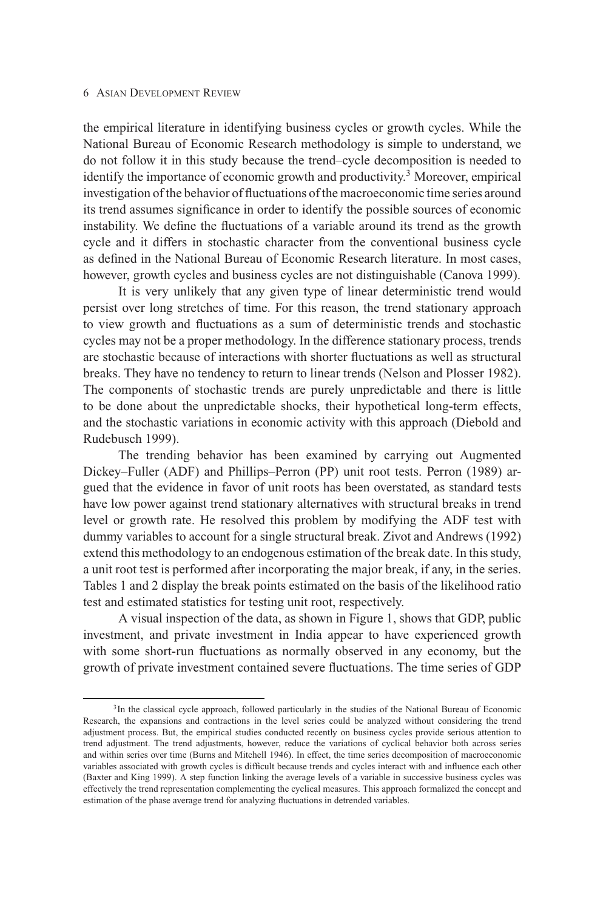the empirical literature in identifying business cycles or growth cycles. While the National Bureau of Economic Research methodology is simple to understand, we do not follow it in this study because the trend–cycle decomposition is needed to identify the importance of economic growth and productivity.<sup>3</sup> Moreover, empirical investigation of the behavior of fluctuations of the macroeconomic time series around its trend assumes significance in order to identify the possible sources of economic instability. We define the fluctuations of a variable around its trend as the growth cycle and it differs in stochastic character from the conventional business cycle as defined in the National Bureau of Economic Research literature. In most cases, however, growth cycles and business cycles are not distinguishable (Canova 1999).

It is very unlikely that any given type of linear deterministic trend would persist over long stretches of time. For this reason, the trend stationary approach to view growth and fluctuations as a sum of deterministic trends and stochastic cycles may not be a proper methodology. In the difference stationary process, trends are stochastic because of interactions with shorter fluctuations as well as structural breaks. They have no tendency to return to linear trends (Nelson and Plosser 1982). The components of stochastic trends are purely unpredictable and there is little to be done about the unpredictable shocks, their hypothetical long-term effects, and the stochastic variations in economic activity with this approach (Diebold and Rudebusch 1999).

The trending behavior has been examined by carrying out Augmented Dickey–Fuller (ADF) and Phillips–Perron (PP) unit root tests. Perron (1989) argued that the evidence in favor of unit roots has been overstated, as standard tests have low power against trend stationary alternatives with structural breaks in trend level or growth rate. He resolved this problem by modifying the ADF test with dummy variables to account for a single structural break. Zivot and Andrews (1992) extend this methodology to an endogenous estimation of the break date. In this study, a unit root test is performed after incorporating the major break, if any, in the series. Tables 1 and 2 display the break points estimated on the basis of the likelihood ratio test and estimated statistics for testing unit root, respectively.

A visual inspection of the data, as shown in Figure 1, shows that GDP, public investment, and private investment in India appear to have experienced growth with some short-run fluctuations as normally observed in any economy, but the growth of private investment contained severe fluctuations. The time series of GDP

<sup>&</sup>lt;sup>3</sup>In the classical cycle approach, followed particularly in the studies of the National Bureau of Economic Research, the expansions and contractions in the level series could be analyzed without considering the trend adjustment process. But, the empirical studies conducted recently on business cycles provide serious attention to trend adjustment. The trend adjustments, however, reduce the variations of cyclical behavior both across series and within series over time (Burns and Mitchell 1946). In effect, the time series decomposition of macroeconomic variables associated with growth cycles is difficult because trends and cycles interact with and influence each other (Baxter and King 1999). A step function linking the average levels of a variable in successive business cycles was effectively the trend representation complementing the cyclical measures. This approach formalized the concept and estimation of the phase average trend for analyzing fluctuations in detrended variables.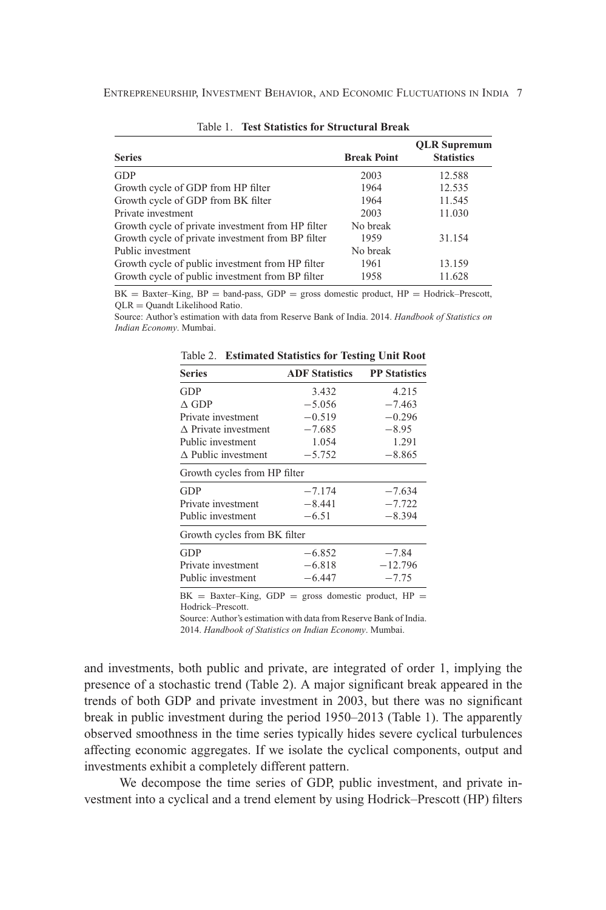| <b>Series</b>                                     | <b>Break Point</b> | <b>QLR</b> Supremum<br><b>Statistics</b> |
|---------------------------------------------------|--------------------|------------------------------------------|
| GDP                                               | 2003               | 12.588                                   |
| Growth cycle of GDP from HP filter                | 1964               | 12.535                                   |
| Growth cycle of GDP from BK filter                | 1964               | 11.545                                   |
| Private investment                                | 2003               | 11.030                                   |
| Growth cycle of private investment from HP filter | No break           |                                          |
| Growth cycle of private investment from BP filter | 1959               | 31.154                                   |
| Public investment                                 | No break           |                                          |
| Growth cycle of public investment from HP filter  | 1961               | 13.159                                   |
| Growth cycle of public investment from BP filter  | 1958               | 11.628                                   |

Table 1. **Test Statistics for Structural Break**

 $BK =$  Baxter–King,  $BP =$  band-pass,  $GDP =$  gross domestic product,  $HP =$  Hodrick–Prescott, QLR = Quandt Likelihood Ratio.

Source: Author's estimation with data from Reserve Bank of India. 2014. *Handbook of Statistics on Indian Economy*. Mumbai.

| <b>Series</b>                  | <b>ADF</b> Statistics | <b>PP</b> Statistics |
|--------------------------------|-----------------------|----------------------|
| GDP                            | 3.432                 | 4.215                |
| $\triangle$ GDP                | $-5.056$              | $-7.463$             |
| Private investment             | $-0.519$              | $-0.296$             |
| $\triangle$ Private investment | $-7.685$              | $-8.95$              |
| Public investment              | 1.054                 | 1.291                |
| $\triangle$ Public investment  | $-5.752$              | $-8.865$             |
| Growth cycles from HP filter   |                       |                      |
| <b>GDP</b>                     | $-7.174$              | $-7.634$             |
| Private investment             | $-8.441$              | $-7.722$             |
| Public investment              | $-6.51$               | $-8.394$             |
| Growth cycles from BK filter   |                       |                      |
| <b>GDP</b>                     | $-6.852$              | $-7.84$              |
| Private investment             | $-6.818$              | $-12.796$            |
| Public investment              | $-6.447$              | $-7.75$              |
|                                |                       |                      |

Table 2. **Estimated Statistics for Testing Unit Root**

 $BK = B$ axter-King,  $GDP =$  gross domestic product,  $HP =$ Hodrick–Prescott.

Source: Author's estimation with data from Reserve Bank of India. 2014. *Handbook of Statistics on Indian Economy*. Mumbai.

and investments, both public and private, are integrated of order 1, implying the presence of a stochastic trend (Table 2). A major significant break appeared in the trends of both GDP and private investment in 2003, but there was no significant break in public investment during the period 1950–2013 (Table 1). The apparently observed smoothness in the time series typically hides severe cyclical turbulences affecting economic aggregates. If we isolate the cyclical components, output and investments exhibit a completely different pattern.

We decompose the time series of GDP, public investment, and private investment into a cyclical and a trend element by using Hodrick–Prescott (HP) filters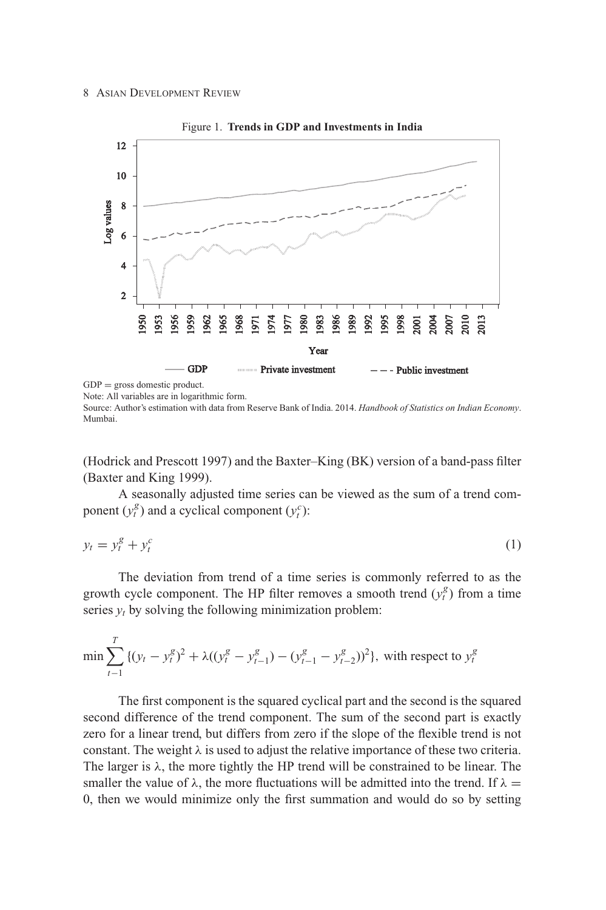

Figure 1. **Trends in GDP and Investments in India**

 $GDP =$  gross domestic product.

Source: Author's estimation with data from Reserve Bank of India. 2014. *Handbook of Statistics on Indian Economy*. Mumbai.

(Hodrick and Prescott 1997) and the Baxter–King (BK) version of a band-pass filter (Baxter and King 1999).

A seasonally adjusted time series can be viewed as the sum of a trend component  $(y_t^g)$  and a cyclical component  $(y_t^c)$ :

$$
y_t = y_t^g + y_t^c \tag{1}
$$

The deviation from trend of a time series is commonly referred to as the growth cycle component. The HP filter removes a smooth trend  $(y_t^g)$  from a time series  $y_t$  by solving the following minimization problem:

$$
\min \sum_{t=1}^{T} \left\{ (y_t - y_t^g)^2 + \lambda ((y_t^g - y_{t-1}^g) - (y_{t-1}^g - y_{t-2}^g))^2 \right\}, \text{ with respect to } y_t^g
$$

The first component is the squared cyclical part and the second is the squared second difference of the trend component. The sum of the second part is exactly zero for a linear trend, but differs from zero if the slope of the flexible trend is not constant. The weight  $\lambda$  is used to adjust the relative importance of these two criteria. The larger is  $\lambda$ , the more tightly the HP trend will be constrained to be linear. The smaller the value of  $\lambda$ , the more fluctuations will be admitted into the trend. If  $\lambda =$ 0, then we would minimize only the first summation and would do so by setting

Note: All variables are in logarithmic form.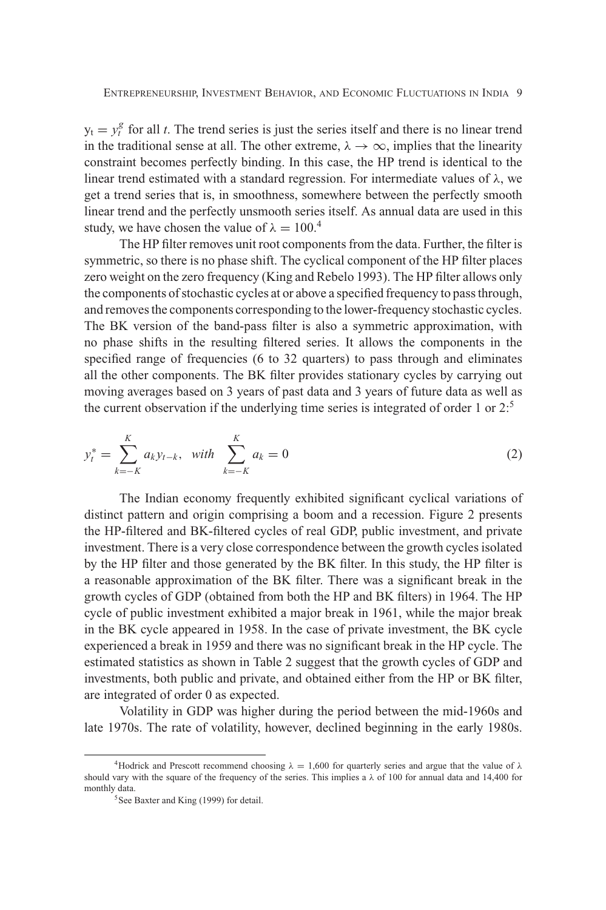$y_t = y_t^g$  for all *t*. The trend series is just the series itself and there is no linear trend in the traditional sense at all. The other extreme,  $\lambda \to \infty$ , implies that the linearity constraint becomes perfectly binding. In this case, the HP trend is identical to the linear trend estimated with a standard regression. For intermediate values of  $\lambda$ , we get a trend series that is, in smoothness, somewhere between the perfectly smooth linear trend and the perfectly unsmooth series itself. As annual data are used in this study, we have chosen the value of  $\lambda = 100$ .<sup>4</sup>

The HP filter removes unit root components from the data. Further, the filter is symmetric, so there is no phase shift. The cyclical component of the HP filter places zero weight on the zero frequency (King and Rebelo 1993). The HP filter allows only the components of stochastic cycles at or above a specified frequency to pass through, and removes the components corresponding to the lower-frequency stochastic cycles. The BK version of the band-pass filter is also a symmetric approximation, with no phase shifts in the resulting filtered series. It allows the components in the specified range of frequencies (6 to 32 quarters) to pass through and eliminates all the other components. The BK filter provides stationary cycles by carrying out moving averages based on 3 years of past data and 3 years of future data as well as the current observation if the underlying time series is integrated of order 1 or 2:5

$$
y_t^* = \sum_{k=-K}^K a_k y_{t-k}, \quad \text{with} \quad \sum_{k=-K}^K a_k = 0 \tag{2}
$$

The Indian economy frequently exhibited significant cyclical variations of distinct pattern and origin comprising a boom and a recession. Figure 2 presents the HP-filtered and BK-filtered cycles of real GDP, public investment, and private investment. There is a very close correspondence between the growth cycles isolated by the HP filter and those generated by the BK filter. In this study, the HP filter is a reasonable approximation of the BK filter. There was a significant break in the growth cycles of GDP (obtained from both the HP and BK filters) in 1964. The HP cycle of public investment exhibited a major break in 1961, while the major break in the BK cycle appeared in 1958. In the case of private investment, the BK cycle experienced a break in 1959 and there was no significant break in the HP cycle. The estimated statistics as shown in Table 2 suggest that the growth cycles of GDP and investments, both public and private, and obtained either from the HP or BK filter, are integrated of order 0 as expected.

Volatility in GDP was higher during the period between the mid-1960s and late 1970s. The rate of volatility, however, declined beginning in the early 1980s.

<sup>&</sup>lt;sup>4</sup>Hodrick and Prescott recommend choosing  $\lambda = 1,600$  for quarterly series and argue that the value of  $\lambda$ should vary with the square of the frequency of the series. This implies a  $\lambda$  of 100 for annual data and 14,400 for monthly data.

<sup>&</sup>lt;sup>5</sup>See Baxter and King (1999) for detail.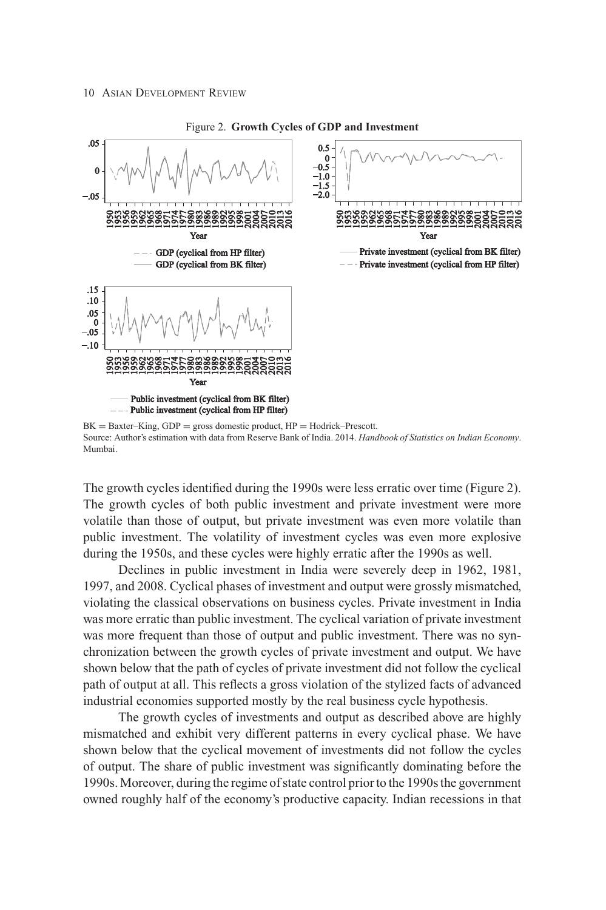

#### Figure 2. **Growth Cycles of GDP and Investment**

 $BK =$  Baxter–King,  $GDP =$  gross domestic product,  $HP =$  Hodrick–Prescott. Source: Author's estimation with data from Reserve Bank of India. 2014. *Handbook of Statistics on Indian Economy*. Mumbai.

The growth cycles identified during the 1990s were less erratic over time (Figure 2). The growth cycles of both public investment and private investment were more volatile than those of output, but private investment was even more volatile than public investment. The volatility of investment cycles was even more explosive during the 1950s, and these cycles were highly erratic after the 1990s as well.

Declines in public investment in India were severely deep in 1962, 1981, 1997, and 2008. Cyclical phases of investment and output were grossly mismatched, violating the classical observations on business cycles. Private investment in India was more erratic than public investment. The cyclical variation of private investment was more frequent than those of output and public investment. There was no synchronization between the growth cycles of private investment and output. We have shown below that the path of cycles of private investment did not follow the cyclical path of output at all. This reflects a gross violation of the stylized facts of advanced industrial economies supported mostly by the real business cycle hypothesis.

The growth cycles of investments and output as described above are highly mismatched and exhibit very different patterns in every cyclical phase. We have shown below that the cyclical movement of investments did not follow the cycles of output. The share of public investment was significantly dominating before the 1990s. Moreover, during the regime of state control prior to the 1990s the government owned roughly half of the economy's productive capacity. Indian recessions in that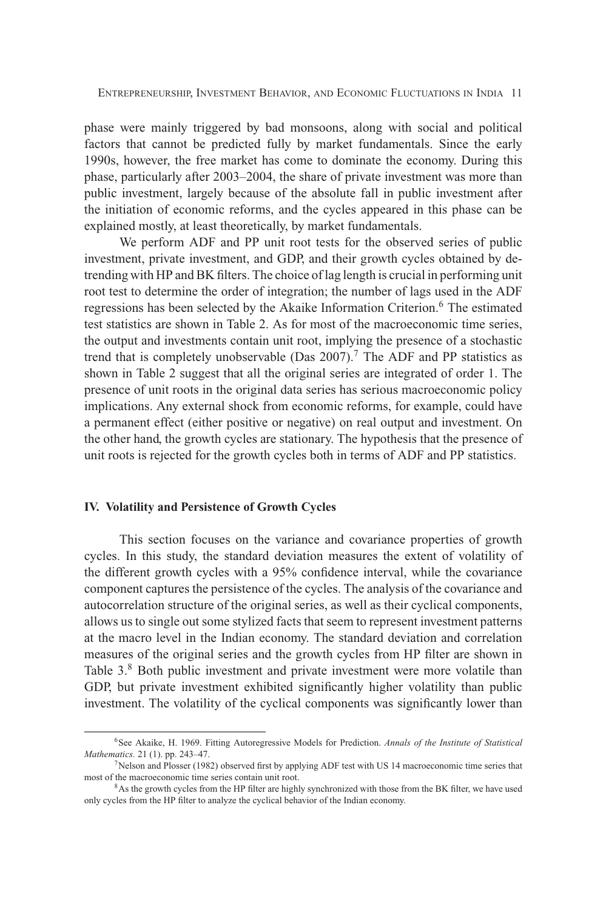phase were mainly triggered by bad monsoons, along with social and political factors that cannot be predicted fully by market fundamentals. Since the early 1990s, however, the free market has come to dominate the economy. During this phase, particularly after 2003–2004, the share of private investment was more than public investment, largely because of the absolute fall in public investment after the initiation of economic reforms, and the cycles appeared in this phase can be explained mostly, at least theoretically, by market fundamentals.

We perform ADF and PP unit root tests for the observed series of public investment, private investment, and GDP, and their growth cycles obtained by detrending with HP and BK filters. The choice of lag length is crucial in performing unit root test to determine the order of integration; the number of lags used in the ADF regressions has been selected by the Akaike Information Criterion.<sup>6</sup> The estimated test statistics are shown in Table 2. As for most of the macroeconomic time series, the output and investments contain unit root, implying the presence of a stochastic trend that is completely unobservable (Das  $2007$ ).<sup>7</sup> The ADF and PP statistics as shown in Table 2 suggest that all the original series are integrated of order 1. The presence of unit roots in the original data series has serious macroeconomic policy implications. Any external shock from economic reforms, for example, could have a permanent effect (either positive or negative) on real output and investment. On the other hand, the growth cycles are stationary. The hypothesis that the presence of unit roots is rejected for the growth cycles both in terms of ADF and PP statistics.

# **IV. Volatility and Persistence of Growth Cycles**

This section focuses on the variance and covariance properties of growth cycles. In this study, the standard deviation measures the extent of volatility of the different growth cycles with a 95% confidence interval, while the covariance component captures the persistence of the cycles. The analysis of the covariance and autocorrelation structure of the original series, as well as their cyclical components, allows us to single out some stylized facts that seem to represent investment patterns at the macro level in the Indian economy. The standard deviation and correlation measures of the original series and the growth cycles from HP filter are shown in Table 3.<sup>8</sup> Both public investment and private investment were more volatile than GDP, but private investment exhibited significantly higher volatility than public investment. The volatility of the cyclical components was significantly lower than

<sup>6</sup>See Akaike, H. 1969. Fitting Autoregressive Models for Prediction. *Annals of the Institute of Statistical Mathematics.* 21 (1). pp. 243–47.

<sup>7</sup>Nelson and Plosser (1982) observed first by applying ADF test with US 14 macroeconomic time series that most of the macroeconomic time series contain unit root.

<sup>&</sup>lt;sup>8</sup>As the growth cycles from the HP filter are highly synchronized with those from the BK filter, we have used only cycles from the HP filter to analyze the cyclical behavior of the Indian economy.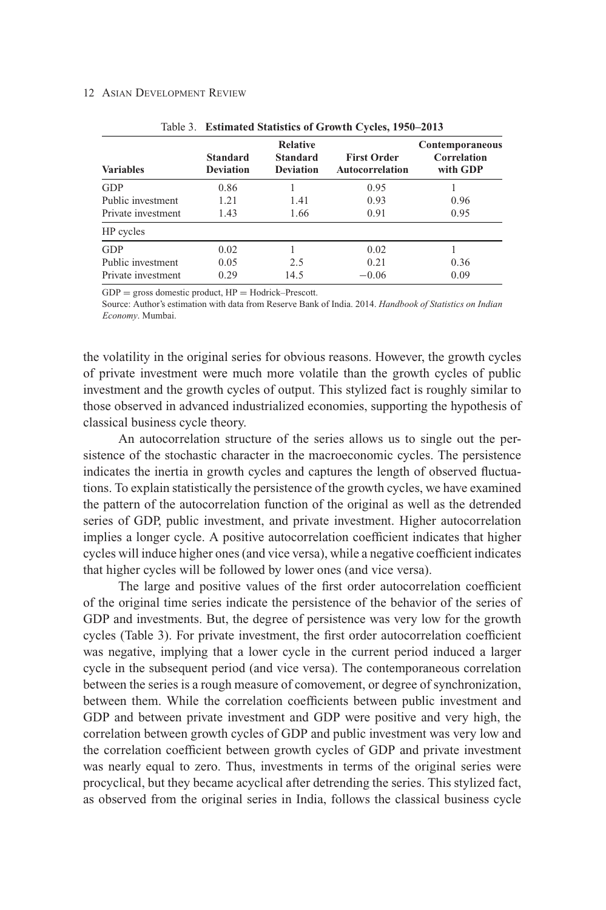| <b>Variables</b>   | <b>Standard</b><br><b>Deviation</b> | <b>Relative</b><br><b>Standard</b><br><b>Deviation</b> | <b>First Order</b><br><b>Autocorrelation</b> | Contemporaneous<br>Correlation<br>with GDP |
|--------------------|-------------------------------------|--------------------------------------------------------|----------------------------------------------|--------------------------------------------|
| GDP                | 0.86                                |                                                        | 0.95                                         |                                            |
| Public investment  | 1.21                                | 1.41                                                   | 0.93                                         | 0.96                                       |
| Private investment | 1.43                                | 1.66                                                   | 0.91                                         | 0.95                                       |
| HP cycles          |                                     |                                                        |                                              |                                            |
| GDP                | 0.02                                |                                                        | 0.02                                         |                                            |
| Public investment  | 0.05                                | 2.5                                                    | 0.21                                         | 0.36                                       |
| Private investment | 0.29                                | 14.5                                                   | $-0.06$                                      | 0.09                                       |

|  |  | Table 3. Estimated Statistics of Growth Cycles, 1950–2013 |  |  |  |  |
|--|--|-----------------------------------------------------------|--|--|--|--|
|--|--|-----------------------------------------------------------|--|--|--|--|

 $GDP =$  gross domestic product,  $HP =$  Hodrick–Prescott.

Source: Author's estimation with data from Reserve Bank of India. 2014. *Handbook of Statistics on Indian Economy*. Mumbai.

the volatility in the original series for obvious reasons. However, the growth cycles of private investment were much more volatile than the growth cycles of public investment and the growth cycles of output. This stylized fact is roughly similar to those observed in advanced industrialized economies, supporting the hypothesis of classical business cycle theory.

An autocorrelation structure of the series allows us to single out the persistence of the stochastic character in the macroeconomic cycles. The persistence indicates the inertia in growth cycles and captures the length of observed fluctuations. To explain statistically the persistence of the growth cycles, we have examined the pattern of the autocorrelation function of the original as well as the detrended series of GDP, public investment, and private investment. Higher autocorrelation implies a longer cycle. A positive autocorrelation coefficient indicates that higher cycles will induce higher ones (and vice versa), while a negative coefficient indicates that higher cycles will be followed by lower ones (and vice versa).

The large and positive values of the first order autocorrelation coefficient of the original time series indicate the persistence of the behavior of the series of GDP and investments. But, the degree of persistence was very low for the growth cycles (Table 3). For private investment, the first order autocorrelation coefficient was negative, implying that a lower cycle in the current period induced a larger cycle in the subsequent period (and vice versa). The contemporaneous correlation between the series is a rough measure of comovement, or degree of synchronization, between them. While the correlation coefficients between public investment and GDP and between private investment and GDP were positive and very high, the correlation between growth cycles of GDP and public investment was very low and the correlation coefficient between growth cycles of GDP and private investment was nearly equal to zero. Thus, investments in terms of the original series were procyclical, but they became acyclical after detrending the series. This stylized fact, as observed from the original series in India, follows the classical business cycle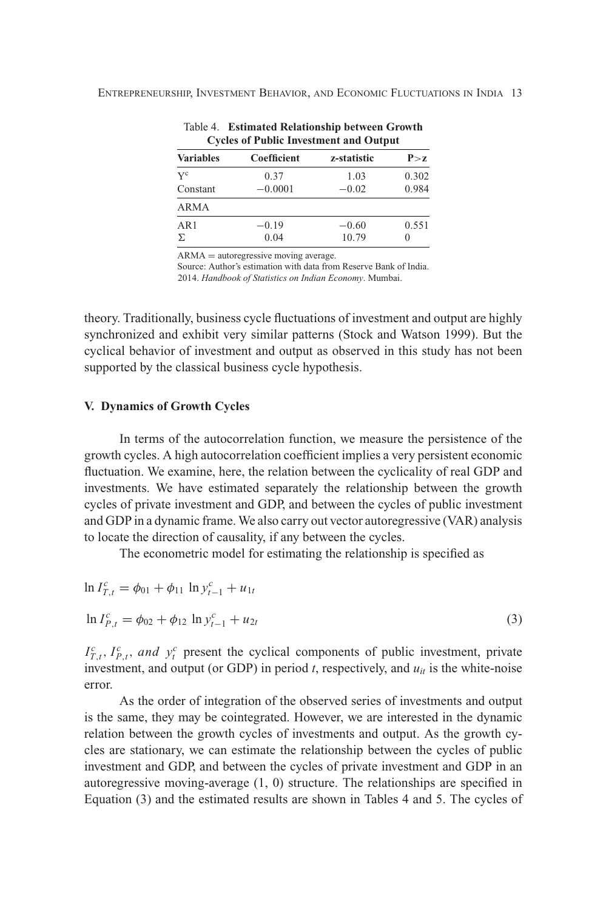| Cycles of 1 apple investment and Output |             |             |       |  |
|-----------------------------------------|-------------|-------------|-------|--|
| <b>Variables</b>                        | Coefficient | z-statistic | P > z |  |
| $\mathbf{V}^{\mathbf{c}}$               | 0.37        | 1.03        | 0.302 |  |
| Constant                                | $-0.0001$   | $-0.02$     | 0.984 |  |
| ARMA                                    |             |             |       |  |
| AR1                                     | $-0.19$     | $-0.60$     | 0.551 |  |
| Σ                                       | 0.04        | 10.79       | 0     |  |

Table 4. **Estimated Relationship between Growth Cycles of Public Investment and Output**

 $ARMA = autoregressive moving average.$ 

Source: Author's estimation with data from Reserve Bank of India. 2014. *Handbook of Statistics on Indian Economy*. Mumbai.

theory. Traditionally, business cycle fluctuations of investment and output are highly synchronized and exhibit very similar patterns (Stock and Watson 1999). But the cyclical behavior of investment and output as observed in this study has not been supported by the classical business cycle hypothesis.

# **V. Dynamics of Growth Cycles**

In terms of the autocorrelation function, we measure the persistence of the growth cycles. A high autocorrelation coefficient implies a very persistent economic fluctuation. We examine, here, the relation between the cyclicality of real GDP and investments. We have estimated separately the relationship between the growth cycles of private investment and GDP, and between the cycles of public investment and GDP in a dynamic frame. We also carry out vector autoregressive (VAR) analysis to locate the direction of causality, if any between the cycles.

The econometric model for estimating the relationship is specified as

$$
\ln I_{T,t}^c = \phi_{01} + \phi_{11} \ln y_{t-1}^c + u_{1t}
$$

$$
\ln I_{P,t}^c = \phi_{02} + \phi_{12} \ln y_{t-1}^c + u_{2t}
$$
\n(3)

 $I_{T,t}^c$ ,  $I_{P,t}^c$ , and  $y_t^c$  present the cyclical components of public investment, private investment, and output (or GDP) in period  $t$ , respectively, and  $u_{it}$  is the white-noise error.

As the order of integration of the observed series of investments and output is the same, they may be cointegrated. However, we are interested in the dynamic relation between the growth cycles of investments and output. As the growth cycles are stationary, we can estimate the relationship between the cycles of public investment and GDP, and between the cycles of private investment and GDP in an autoregressive moving-average (1, 0) structure. The relationships are specified in Equation (3) and the estimated results are shown in Tables 4 and 5. The cycles of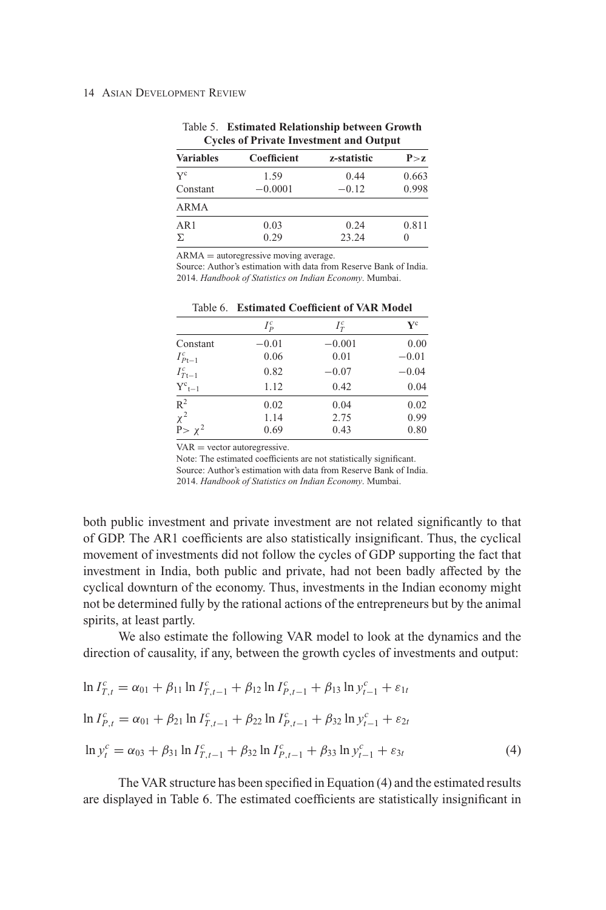| <b>Variables</b>          | Coefficient | z-statistic | P > z    |  |
|---------------------------|-------------|-------------|----------|--|
| $\mathbf{V}^{\mathbf{c}}$ | 1.59        | 0.44        | 0.663    |  |
| Constant                  | $-0.0001$   | $-0.12$     | 0.998    |  |
| ARMA                      |             |             |          |  |
| AR1                       | 0.03        | 0.24        | 0.811    |  |
| Σ                         | 0.29        | 23.24       | $\theta$ |  |

Table 5. **Estimated Relationship between Growth Cycles of Private Investment and Output**

 $ARMA = autoregressive moving average.$ 

Source: Author's estimation with data from Reserve Bank of India. 2014. *Handbook of Statistics on Indian Economy*. Mumbai.

|                  | $I_P^c$ | $I_r^c$  | $\mathbf{V}^{\text{c}}$ |
|------------------|---------|----------|-------------------------|
| Constant         | $-0.01$ | $-0.001$ | 0.00                    |
| $I_{P_{t-1}}^c$  | 0.06    | 0.01     | $-0.01$                 |
| $I_{T_{t-1}}^c$  | 0.82    | $-0.07$  | $-0.04$                 |
| $Y_{t-1}^c$      | 1.12    | 0.42     | 0.04                    |
| $\overline{R^2}$ | 0.02    | 0.04     | 0.02                    |
| $\chi^2$         | 1.14    | 2.75     | 0.99                    |
| $P > \chi^2$     | 0.69    | 0.43     | 0.80                    |

Table 6. **Estimated Coefficient of VAR Model**

 $VAR = vector autoregressive.$ 

Note: The estimated coefficients are not statistically significant. Source: Author's estimation with data from Reserve Bank of India. 2014. *Handbook of Statistics on Indian Economy*. Mumbai.

both public investment and private investment are not related significantly to that of GDP. The AR1 coefficients are also statistically insignificant. Thus, the cyclical movement of investments did not follow the cycles of GDP supporting the fact that investment in India, both public and private, had not been badly affected by the cyclical downturn of the economy. Thus, investments in the Indian economy might not be determined fully by the rational actions of the entrepreneurs but by the animal spirits, at least partly.

We also estimate the following VAR model to look at the dynamics and the direction of causality, if any, between the growth cycles of investments and output:

$$
\ln I_{T,t}^c = \alpha_{01} + \beta_{11} \ln I_{T,t-1}^c + \beta_{12} \ln I_{P,t-1}^c + \beta_{13} \ln y_{t-1}^c + \varepsilon_{1t}
$$
  
\n
$$
\ln I_{P,t}^c = \alpha_{01} + \beta_{21} \ln I_{T,t-1}^c + \beta_{22} \ln I_{P,t-1}^c + \beta_{32} \ln y_{t-1}^c + \varepsilon_{2t}
$$
  
\n
$$
\ln y_t^c = \alpha_{03} + \beta_{31} \ln I_{T,t-1}^c + \beta_{32} \ln I_{P,t-1}^c + \beta_{33} \ln y_{t-1}^c + \varepsilon_{3t}
$$
 (4)

The VAR structure has been specified in Equation (4) and the estimated results are displayed in Table 6. The estimated coefficients are statistically insignificant in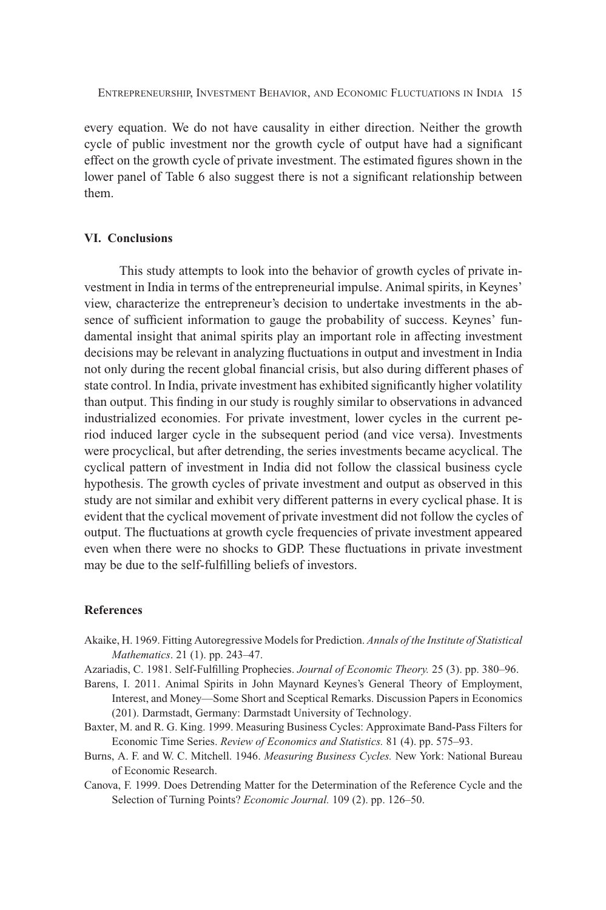every equation. We do not have causality in either direction. Neither the growth cycle of public investment nor the growth cycle of output have had a significant effect on the growth cycle of private investment. The estimated figures shown in the lower panel of Table 6 also suggest there is not a significant relationship between them.

# **VI. Conclusions**

This study attempts to look into the behavior of growth cycles of private investment in India in terms of the entrepreneurial impulse. Animal spirits, in Keynes' view, characterize the entrepreneur's decision to undertake investments in the absence of sufficient information to gauge the probability of success. Keynes' fundamental insight that animal spirits play an important role in affecting investment decisions may be relevant in analyzing fluctuations in output and investment in India not only during the recent global financial crisis, but also during different phases of state control. In India, private investment has exhibited significantly higher volatility than output. This finding in our study is roughly similar to observations in advanced industrialized economies. For private investment, lower cycles in the current period induced larger cycle in the subsequent period (and vice versa). Investments were procyclical, but after detrending, the series investments became acyclical. The cyclical pattern of investment in India did not follow the classical business cycle hypothesis. The growth cycles of private investment and output as observed in this study are not similar and exhibit very different patterns in every cyclical phase. It is evident that the cyclical movement of private investment did not follow the cycles of output. The fluctuations at growth cycle frequencies of private investment appeared even when there were no shocks to GDP. These fluctuations in private investment may be due to the self-fulfilling beliefs of investors.

# **References**

- Akaike, H. 1969. Fitting Autoregressive Models for Prediction. *Annals of the Institute of Statistical Mathematics*. 21 (1). pp. 243–47.
- Azariadis, C. 1981. Self-Fulfilling Prophecies. *Journal of Economic Theory.* 25 (3). pp. 380–96.
- Barens, I. 2011. Animal Spirits in John Maynard Keynes's General Theory of Employment, Interest, and Money—Some Short and Sceptical Remarks. Discussion Papers in Economics (201). Darmstadt, Germany: Darmstadt University of Technology.
- Baxter, M. and R. G. King. 1999. Measuring Business Cycles: Approximate Band-Pass Filters for Economic Time Series. *Review of Economics and Statistics.* 81 (4). pp. 575–93.
- Burns, A. F. and W. C. Mitchell. 1946. *Measuring Business Cycles.* New York: National Bureau of Economic Research.
- Canova, F. 1999. Does Detrending Matter for the Determination of the Reference Cycle and the Selection of Turning Points? *Economic Journal.* 109 (2). pp. 126–50.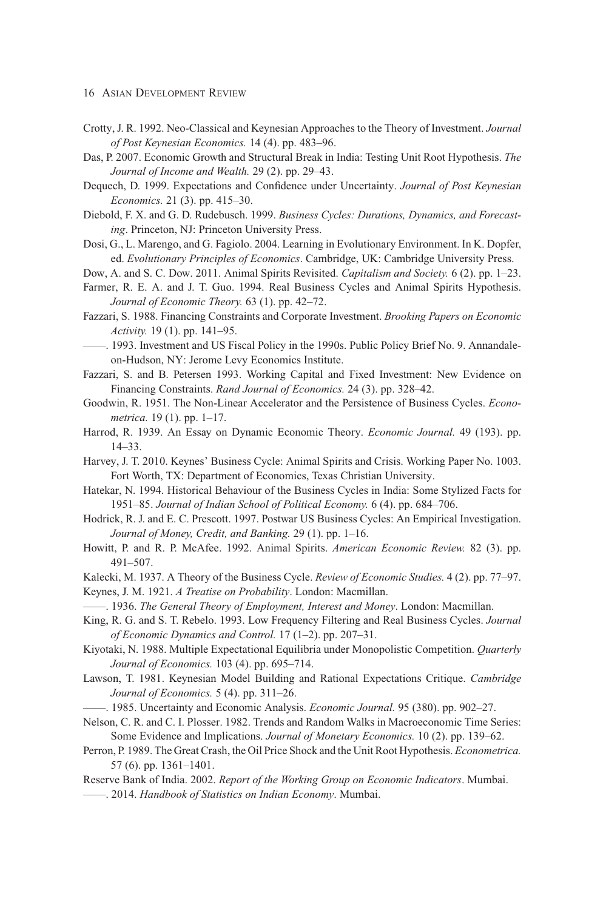- 16 ASIAN DEVELOPMENT REVIEW
- Crotty, J. R. 1992. Neo-Classical and Keynesian Approaches to the Theory of Investment. *Journal of Post Keynesian Economics.* 14 (4). pp. 483–96.
- Das, P. 2007. Economic Growth and Structural Break in India: Testing Unit Root Hypothesis. *The Journal of Income and Wealth.* 29 (2). pp. 29–43.
- Dequech, D. 1999. Expectations and Confidence under Uncertainty. *Journal of Post Keynesian Economics.* 21 (3). pp. 415–30.
- Diebold, F. X. and G. D. Rudebusch. 1999. *Business Cycles: Durations, Dynamics, and Forecasting*. Princeton, NJ: Princeton University Press.
- Dosi, G., L. Marengo, and G. Fagiolo. 2004. Learning in Evolutionary Environment. In K. Dopfer, ed. *Evolutionary Principles of Economics*. Cambridge, UK: Cambridge University Press.
- Dow, A. and S. C. Dow. 2011. Animal Spirits Revisited. *Capitalism and Society.* 6 (2). pp. 1–23.
- Farmer, R. E. A. and J. T. Guo. 1994. Real Business Cycles and Animal Spirits Hypothesis. *Journal of Economic Theory.* 63 (1). pp. 42–72.
- Fazzari, S. 1988. Financing Constraints and Corporate Investment. *Brooking Papers on Economic Activity.* 19 (1). pp. 141–95.
- ——. 1993. Investment and US Fiscal Policy in the 1990s. Public Policy Brief No. 9. Annandaleon-Hudson, NY: Jerome Levy Economics Institute.
- Fazzari, S. and B. Petersen 1993. Working Capital and Fixed Investment: New Evidence on Financing Constraints. *Rand Journal of Economics.* 24 (3). pp. 328–42.
- Goodwin, R. 1951. The Non-Linear Accelerator and the Persistence of Business Cycles. *Econometrica.* 19 (1). pp. 1–17.
- Harrod, R. 1939. An Essay on Dynamic Economic Theory. *Economic Journal.* 49 (193). pp. 14–33.
- Harvey, J. T. 2010. Keynes' Business Cycle: Animal Spirits and Crisis. Working Paper No. 1003. Fort Worth, TX: Department of Economics, Texas Christian University.
- Hatekar, N. 1994. Historical Behaviour of the Business Cycles in India: Some Stylized Facts for 1951–85. *Journal of Indian School of Political Economy.* 6 (4). pp. 684–706.
- Hodrick, R. J. and E. C. Prescott. 1997. Postwar US Business Cycles: An Empirical Investigation. *Journal of Money, Credit, and Banking.* 29 (1). pp. 1–16.
- Howitt, P. and R. P. McAfee. 1992. Animal Spirits. *American Economic Review.* 82 (3). pp. 491–507.
- Kalecki, M. 1937. A Theory of the Business Cycle. *Review of Economic Studies.* 4 (2). pp. 77–97.
- Keynes, J. M. 1921. *A Treatise on Probability*. London: Macmillan.
- ——. 1936. *The General Theory of Employment, Interest and Money*. London: Macmillan.
- King, R. G. and S. T. Rebelo. 1993. Low Frequency Filtering and Real Business Cycles. *Journal of Economic Dynamics and Control.* 17 (1–2). pp. 207–31.
- Kiyotaki, N. 1988. Multiple Expectational Equilibria under Monopolistic Competition. *Quarterly Journal of Economics.* 103 (4). pp. 695–714.
- Lawson, T. 1981. Keynesian Model Building and Rational Expectations Critique. *Cambridge Journal of Economics.* 5 (4). pp. 311–26.
	- ——. 1985. Uncertainty and Economic Analysis. *Economic Journal.* 95 (380). pp. 902–27.
- Nelson, C. R. and C. I. Plosser. 1982. Trends and Random Walks in Macroeconomic Time Series: Some Evidence and Implications. *Journal of Monetary Economics.* 10 (2). pp. 139–62.
- Perron, P. 1989. The Great Crash, the Oil Price Shock and the Unit Root Hypothesis. *Econometrica.* 57 (6). pp. 1361–1401.
- Reserve Bank of India. 2002. *Report of the Working Group on Economic Indicators*. Mumbai. ——. 2014. *Handbook of Statistics on Indian Economy*. Mumbai.